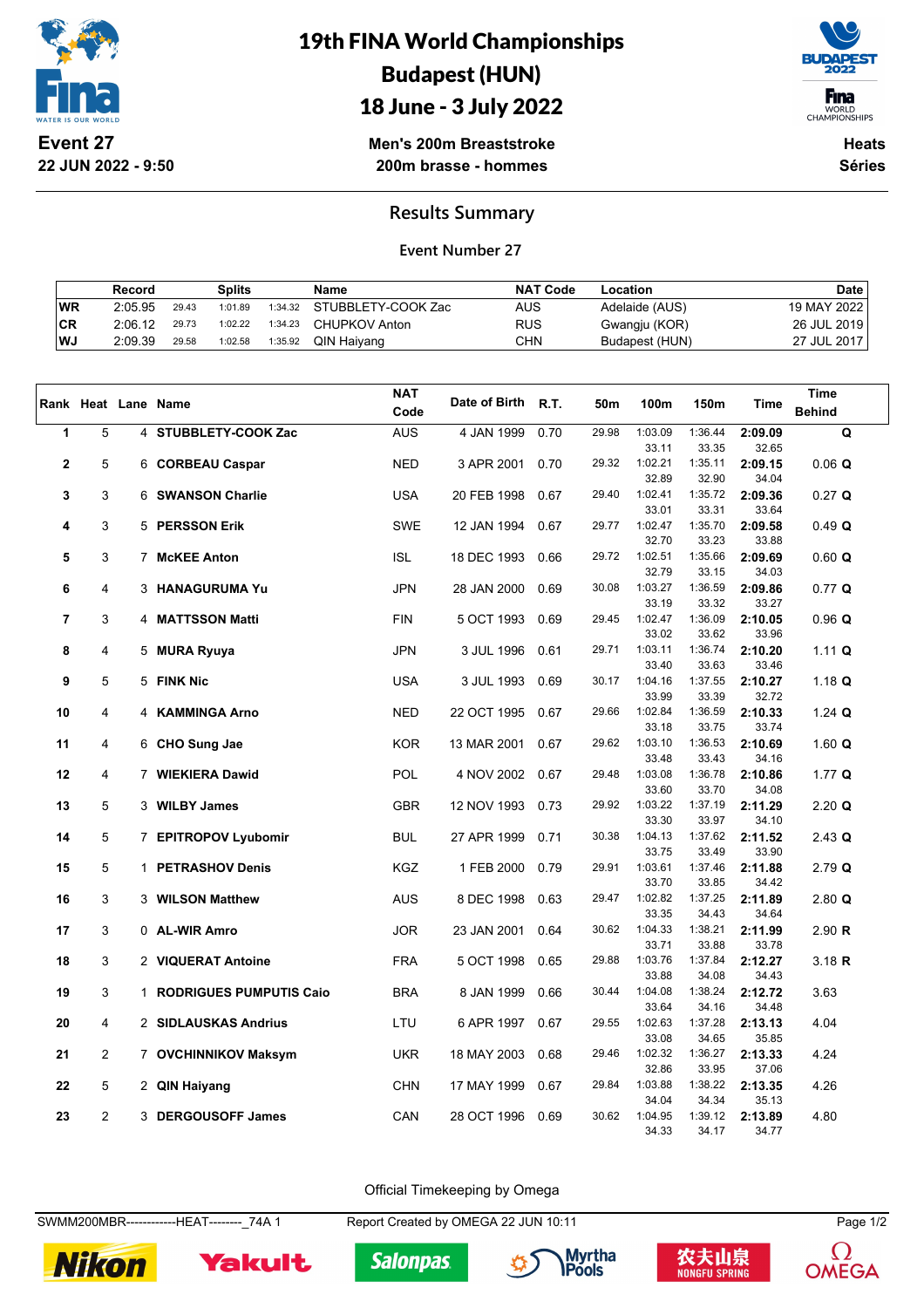

19th FINA World Championships Budapest (HUN) 18 June - 3 July 2022



WORLD<br>CHAMPIONSHIPS

**Men's 200m Breaststroke 200m brasse - hommes**

**Heats Séries**

**Results Summary**

**Event Number 27**

|     | Record  |       | <b>Splits</b> |         | <b>Name</b>        | <b>NAT Code</b> | Location       | <b>Date</b>   |
|-----|---------|-------|---------------|---------|--------------------|-----------------|----------------|---------------|
| WR  | 2:05.95 | 29.43 | 1:01.89       | 1:34.32 | STUBBLETY-COOK Zac | AUS             | Adelaide (AUS) | 19 MAY 2022 l |
| ∣CR | 2:06.12 | 29.73 | 1:02.22       | 1:34.23 | CHUPKOV Anton      | <b>RUS</b>      | Gwangju (KOR)  | 26 JUL 2019   |
| WJ  | 2:09.39 | 29.58 | 1:02.58       | 1:35.92 | QIN Haiyang        | CHN             | Budapest (HUN) | 27 JUL 2017   |

|             |                |                     |                           | <b>NAT</b> |               |      |       |                  |                  |                  | <b>Time</b>   |
|-------------|----------------|---------------------|---------------------------|------------|---------------|------|-------|------------------|------------------|------------------|---------------|
|             |                | Rank Heat Lane Name |                           | Code       | Date of Birth | R.T. | 50m   | 100m             | 150m             | <b>Time</b>      | <b>Behind</b> |
| 1           | 5              |                     | 4 STUBBLETY-COOK Zac      | <b>AUS</b> | 4 JAN 1999    | 0.70 | 29.98 | 1:03.09          | 1:36.44          | 2:09.09          | $\mathbf Q$   |
|             |                |                     |                           |            |               |      |       | 33.11            | 33.35            | 32.65            |               |
| $\mathbf 2$ | 5              |                     | 6 CORBEAU Caspar          | <b>NED</b> | 3 APR 2001    | 0.70 | 29.32 | 1:02.21          | 1:35.11          | 2:09.15          | $0.06$ Q      |
|             |                |                     |                           |            |               |      |       | 32.89            | 32.90            | 34.04            |               |
| 3           | 3              |                     | 6 SWANSON Charlie         | <b>USA</b> | 20 FEB 1998   | 0.67 | 29.40 | 1:02.41<br>33.01 | 1:35.72<br>33.31 | 2:09.36<br>33.64 | $0.27$ Q      |
| 4           | 3              |                     | 5 PERSSON Erik            | <b>SWE</b> | 12 JAN 1994   | 0.67 | 29.77 | 1:02.47          | 1:35.70          | 2:09.58          | 0.49 Q        |
|             |                |                     |                           |            |               |      |       | 32.70            | 33.23            | 33.88            |               |
| 5           | 3              |                     | 7 McKEE Anton             | <b>ISL</b> | 18 DEC 1993   | 0.66 | 29.72 | 1:02.51          | 1:35.66          | 2:09.69          | 0.60 Q        |
|             |                |                     |                           |            |               |      |       | 32.79            | 33.15            | 34.03            |               |
| 6           | 4              |                     | 3 HANAGURUMA Yu           | <b>JPN</b> | 28 JAN 2000   | 0.69 | 30.08 | 1:03.27          | 1:36.59          | 2:09.86          | $0.77$ Q      |
|             |                |                     |                           |            |               |      |       | 33.19            | 33.32            | 33.27            |               |
| 7           | 3              |                     | 4 MATTSSON Matti          | <b>FIN</b> | 5 OCT 1993    | 0.69 | 29.45 | 1:02.47          | 1:36.09          | 2:10.05          | 0.96 Q        |
|             |                |                     |                           |            |               |      |       | 33.02            | 33.62            | 33.96            |               |
| 8           | 4              |                     | 5 MURA Ryuya              | <b>JPN</b> | 3 JUL 1996    | 0.61 | 29.71 | 1:03.11          | 1:36.74          | 2:10.20          | 1.11 Q        |
|             |                |                     |                           |            |               |      |       | 33.40            | 33.63            | 33.46            |               |
| 9           | 5              |                     | 5 FINK Nic                | <b>USA</b> | 3 JUL 1993    | 0.69 | 30.17 | 1:04.16          | 1:37.55          | 2:10.27          | 1.18 Q        |
| 10          | 4              |                     | 4 KAMMINGA Arno           |            |               | 0.67 | 29.66 | 33.99<br>1:02.84 | 33.39<br>1:36.59 | 32.72            |               |
|             |                |                     |                           | <b>NED</b> | 22 OCT 1995   |      |       | 33.18            | 33.75            | 2:10.33<br>33.74 | 1.24 $Q$      |
| 11          | 4              |                     | 6 CHO Sung Jae            | <b>KOR</b> | 13 MAR 2001   | 0.67 | 29.62 | 1:03.10          | 1:36.53          | 2:10.69          | $1.60$ Q      |
|             |                |                     |                           |            |               |      |       | 33.48            | 33.43            | 34.16            |               |
| 12          | 4              |                     | 7 WIEKIERA Dawid          | <b>POL</b> | 4 NOV 2002    | 0.67 | 29.48 | 1:03.08          | 1:36.78          | 2:10.86          | 1.77 $Q$      |
|             |                |                     |                           |            |               |      |       | 33.60            | 33.70            | 34.08            |               |
| 13          | 5              |                     | 3 WILBY James             | <b>GBR</b> | 12 NOV 1993   | 0.73 | 29.92 | 1:03.22          | 1:37.19          | 2:11.29          | $2.20$ Q      |
|             |                |                     |                           |            |               |      |       | 33.30            | 33.97            | 34.10            |               |
| 14          | 5              |                     | 7 EPITROPOV Lyubomir      | <b>BUL</b> | 27 APR 1999   | 0.71 | 30.38 | 1:04.13          | 1:37.62          | 2:11.52          | $2.43$ Q      |
|             |                |                     |                           |            |               |      |       | 33.75            | 33.49            | 33.90            |               |
| 15          | 5              |                     | 1 PETRASHOV Denis         | KGZ        | 1 FEB 2000    | 0.79 | 29.91 | 1:03.61<br>33.70 | 1:37.46<br>33.85 | 2:11.88<br>34.42 | $2.79$ Q      |
| 16          | 3              |                     | 3 WILSON Matthew          | <b>AUS</b> | 8 DEC 1998    | 0.63 | 29.47 | 1:02.82          | 1:37.25          | 2:11.89          | $2.80$ Q      |
|             |                |                     |                           |            |               |      |       | 33.35            | 34.43            | 34.64            |               |
| 17          | 3              |                     | 0 AL-WIR Amro             | <b>JOR</b> | 23 JAN 2001   | 0.64 | 30.62 | 1:04.33          | 1:38.21          | 2:11.99          | 2.90 R        |
|             |                |                     |                           |            |               |      |       | 33.71            | 33.88            | 33.78            |               |
| 18          | 3              |                     | 2 VIQUERAT Antoine        | <b>FRA</b> | 5 OCT 1998    | 0.65 | 29.88 | 1:03.76          | 1:37.84          | 2:12.27          | 3.18 R        |
|             |                |                     |                           |            |               |      |       | 33.88            | 34.08            | 34.43            |               |
| 19          | 3              |                     | 1 RODRIGUES PUMPUTIS Caio | <b>BRA</b> | 8 JAN 1999    | 0.66 | 30.44 | 1:04.08          | 1:38.24          | 2:12.72          | 3.63          |
|             |                |                     |                           |            |               |      |       | 33.64            | 34.16            | 34.48            |               |
| 20          | 4              |                     | 2 SIDLAUSKAS Andrius      | LTU        | 6 APR 1997    | 0.67 | 29.55 | 1:02.63          | 1:37.28          | 2:13.13          | 4.04          |
|             |                |                     |                           |            |               |      | 29.46 | 33.08            | 34.65            | 35.85            |               |
| 21          | $\overline{2}$ |                     | 7 OVCHINNIKOV Maksym      | <b>UKR</b> | 18 MAY 2003   | 0.68 |       | 1:02.32<br>32.86 | 1:36.27<br>33.95 | 2:13.33<br>37.06 | 4.24          |
| 22          | 5              |                     | 2 QIN Haiyang             | <b>CHN</b> | 17 MAY 1999   | 0.67 | 29.84 | 1:03.88          | 1:38.22          | 2:13.35          | 4.26          |
|             |                |                     |                           |            |               |      |       | 34.04            | 34.34            | 35.13            |               |
| 23          | $\overline{2}$ |                     | 3 DERGOUSOFF James        | CAN        | 28 OCT 1996   | 0.69 | 30.62 | 1:04.95          | 1:39.12          | 2:13.89          | 4.80          |
|             |                |                     |                           |            |               |      |       | 34.33            | 34.17            | 34.77            |               |

Official Timekeeping by Omega

SWMM200MBR------------HEAT--------\_74A 1 Report Created by OMEGA 22 JUN 10:11 Page 1/2